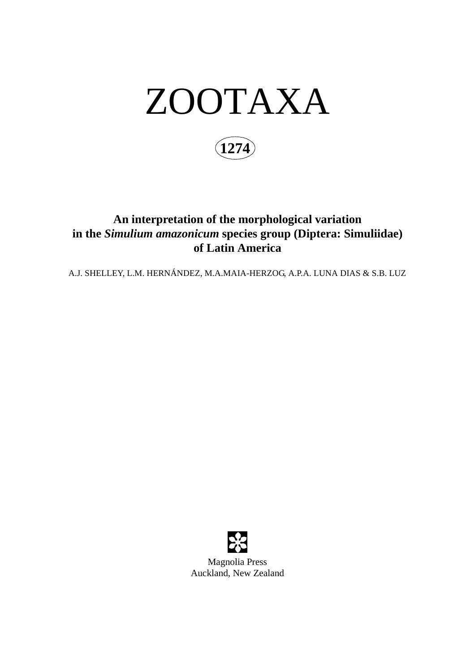

**1274**

**An interpretation of the morphological variation in the** *Simulium amazonicum* **species group (Diptera: Simuliidae) of Latin America**

A.J. SHELLEY, L.M. HERNÁNDEZ, M.A.MAIA-HERZOG, A.P.A. LUNA DIAS & S.B. LUZ

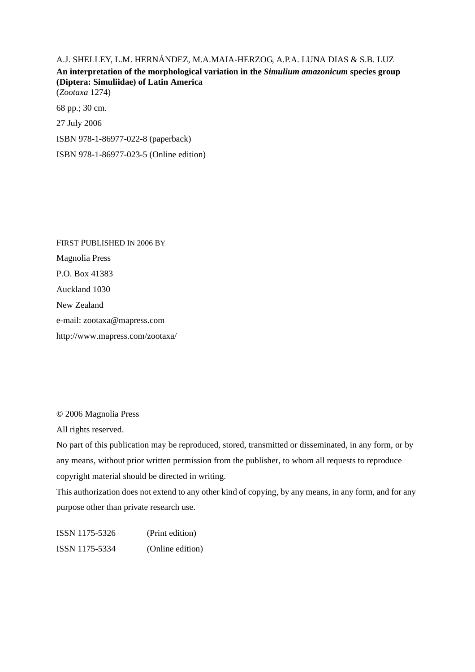### A.J. SHELLEY, L.M. HERNÁNDEZ, M.A.MAIA-HERZOG, A.P.A. LUNA DIAS & S.B. LUZ **An interpretation of the morphological variation in the** *Simulium amazonicum* **species group (Diptera: Simuliidae) of Latin America** (*Zootaxa* 1274)

68 pp.; 30 cm.

27 July 2006

ISBN 978-1-86977-022-8 (paperback)

ISBN 978-1-86977-023-5 (Online edition)

FIRST PUBLISHED IN 2006 BY Magnolia Press P.O. Box 41383 Auckland 1030 New Zealand e-mail: zootaxa@mapress.com http://www.mapress.com/zootaxa/

© 2006 Magnolia Press

All rights reserved.

No part of this publication may be reproduced, stored, transmitted or disseminated, in any form, or by any means, without prior written permission from the publisher, to whom all requests to reproduce copyright material should be directed in writing.

This authorization does not extend to any other kind of copying, by any means, in any form, and for any purpose other than private research use.

| ISSN 1175-5326 | (Print edition)  |
|----------------|------------------|
| ISSN 1175-5334 | (Online edition) |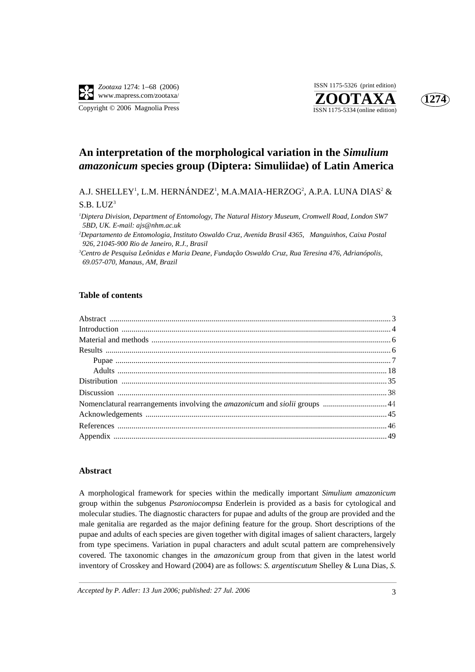

# **ZOOTAXA**<br>ISSN 1175-5334 (online edition) ISSN 1175-5326 (print edition)



## **An interpretation of the morphological variation in the** *Simulium amazonicum* **species group (Diptera: Simuliidae) of Latin America**

A.J. SHELLEY', L.M. HERNÁNDEZ', M.A.MAIA-HERZOG<sup>2</sup>, A.P.A. LUNA DIAS<sup>2</sup> &

#### S.B. LUZ<sup>3</sup>

*1 Diptera Division, Department of Entomology, The Natural History Museum, Cromwell Road, London SW7 5BD, UK. E-mail: ajs@nhm.ac.uk*

*2 Departamento de Entomologia, Instituto Oswaldo Cruz, Avenida Brasil 4365, Manguinhos, Caixa Postal 926, 21045-900 Rio de Janeiro, R.J., Brasil*

*3 Centro de Pesquisa Leônidas e Maria Deane, Fundação Oswaldo Cruz, Rua Teresina 476, Adrianópolis, 69.057-070, Manaus, AM, Brazil* 

#### **Table of contents**

| Nomenclatural rearrangements involving the amazonicum and siolii groups 44 |  |
|----------------------------------------------------------------------------|--|
|                                                                            |  |
|                                                                            |  |
|                                                                            |  |

#### **Abstract**

A morphological framework for species within the medically important *Simulium amazonicum* group within the subgenus *Psaroniocompsa* Enderlein is provided as a basis for cytological and molecular studies. The diagnostic characters for pupae and adults of the group are provided and the male genitalia are regarded as the major defining feature for the group. Short descriptions of the pupae and adults of each species are given together with digital images of salient characters, largely from type specimens. Variation in pupal characters and adult scutal pattern are comprehensively covered. The taxonomic changes in the *amazonicum* group from that given in the latest world inventory of Crosskey and Howard (2004) are as follows: *S. argentiscutum* Shelley & Luna Dias, *S.*